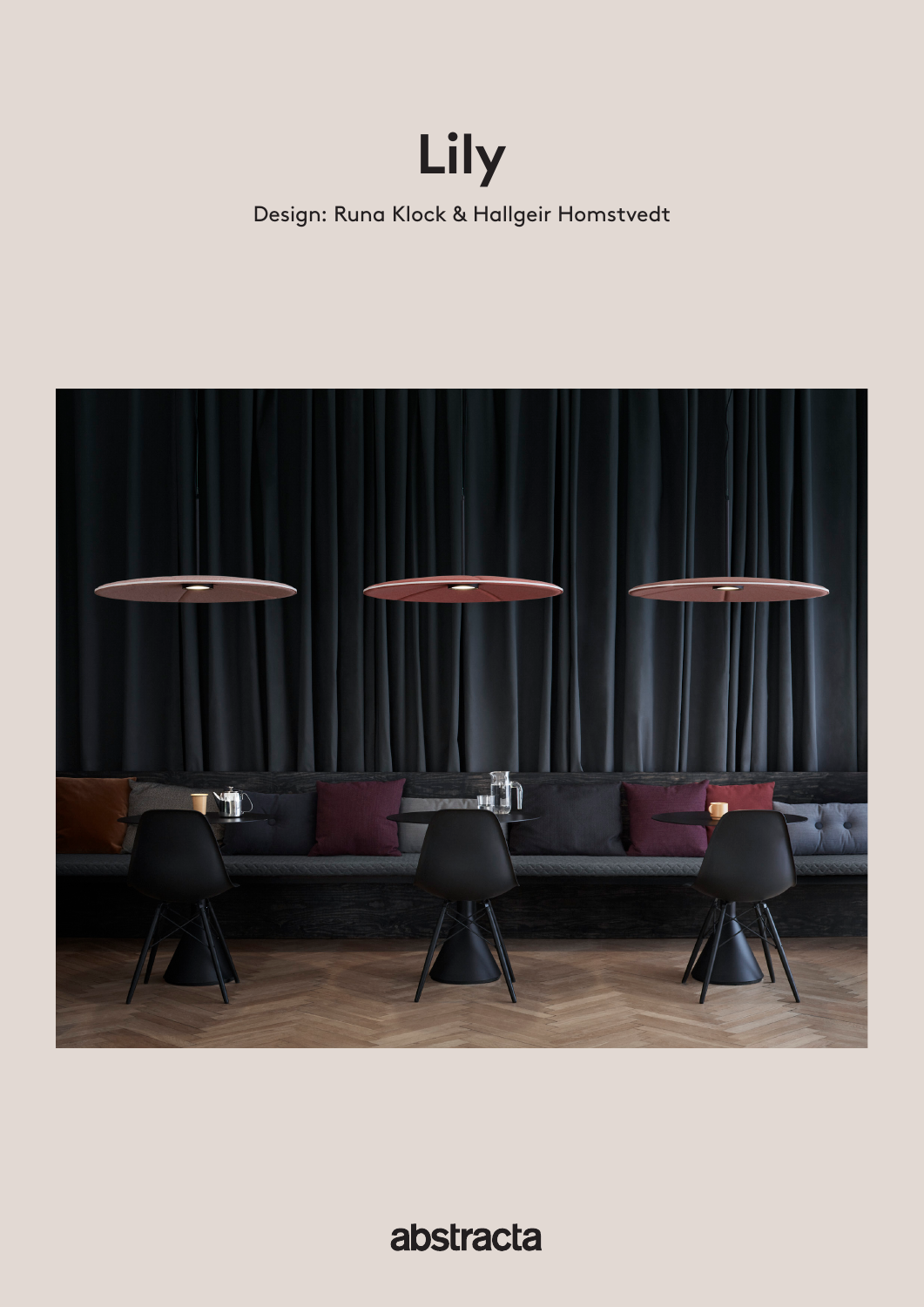# **Lily**

Design: Runa Klock & Hallgeir Homstvedt



abstracta